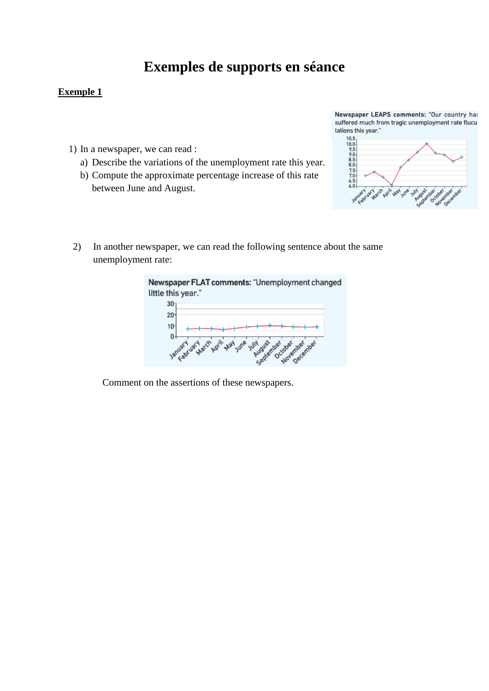## **Exemples de supports en séance**

## **Exemple 1**

- 1) In a newspaper, we can read :
	- a) Describe the variations of the unemployment rate this year.
	- b) Compute the approximate percentage increase of this rate between June and August.



2) In another newspaper, we can read the following sentence about the same unemployment rate:



Comment on the assertions of these newspapers.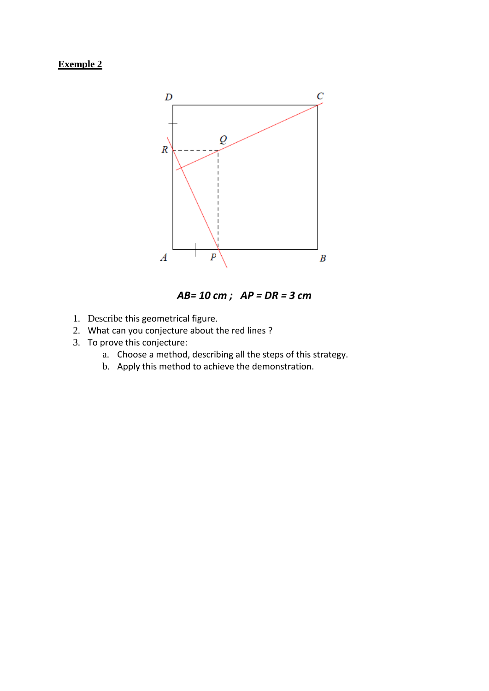## **Exemple 2**



*AB= 10 cm ; AP = DR = 3 cm*

- 1. Describe this geometrical figure.
- 2. What can you conjecture about the red lines ?
- 3. To prove this conjecture:
	- a. Choose a method, describing all the steps of this strategy.
	- b. Apply this method to achieve the demonstration.